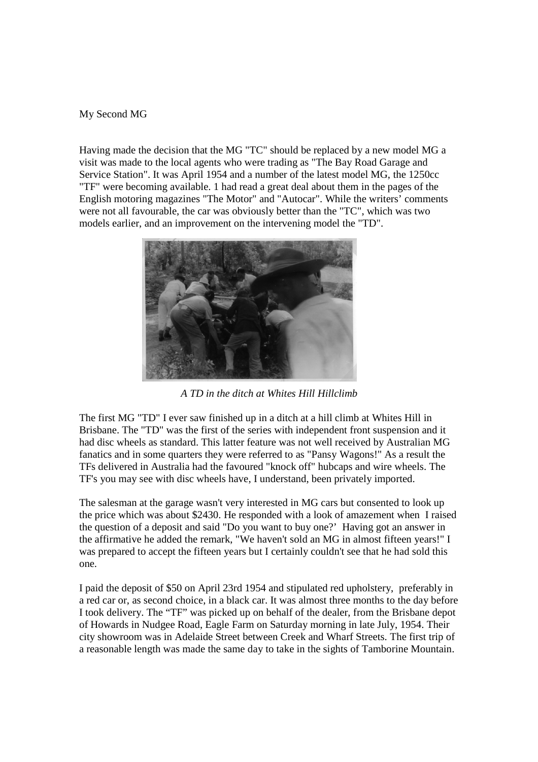## My Second MG

Having made the decision that the MG "TC" should be replaced by a new model MG a visit was made to the local agents who were trading as "The Bay Road Garage and Service Station". It was April 1954 and a number of the latest model MG, the 1250cc "TF" were becoming available. 1 had read a great deal about them in the pages of the English motoring magazines "The Motor" and "Autocar". While the writers' comments were not all favourable, the car was obviously better than the "TC", which was two models earlier, and an improvement on the intervening model the "TD".



*A TD in the ditch at Whites Hill Hillclimb*

The first MG "TD" I ever saw finished up in a ditch at a hill climb at Whites Hill in Brisbane. The "TD" was the first of the series with independent front suspension and it had disc wheels as standard. This latter feature was not well received by Australian MG fanatics and in some quarters they were referred to as "Pansy Wagons!" As a result the TFs delivered in Australia had the favoured "knock off" hubcaps and wire wheels. The TF's you may see with disc wheels have, I understand, been privately imported.

The salesman at the garage wasn't very interested in MG cars but consented to look up the price which was about \$2430. He responded with a look of amazement when I raised the question of a deposit and said "Do you want to buy one?' Having got an answer in the affirmative he added the remark, "We haven't sold an MG in almost fifteen years!" I was prepared to accept the fifteen years but I certainly couldn't see that he had sold this one.

I paid the deposit of \$50 on April 23rd 1954 and stipulated red upholstery, preferably in a red car or, as second choice, in a black car. It was almost three months to the day before I took delivery. The "TF" was picked up on behalf of the dealer, from the Brisbane depot of Howards in Nudgee Road, Eagle Farm on Saturday morning in late July, 1954. Their city showroom was in Adelaide Street between Creek and Wharf Streets. The first trip of a reasonable length was made the same day to take in the sights of Tamborine Mountain.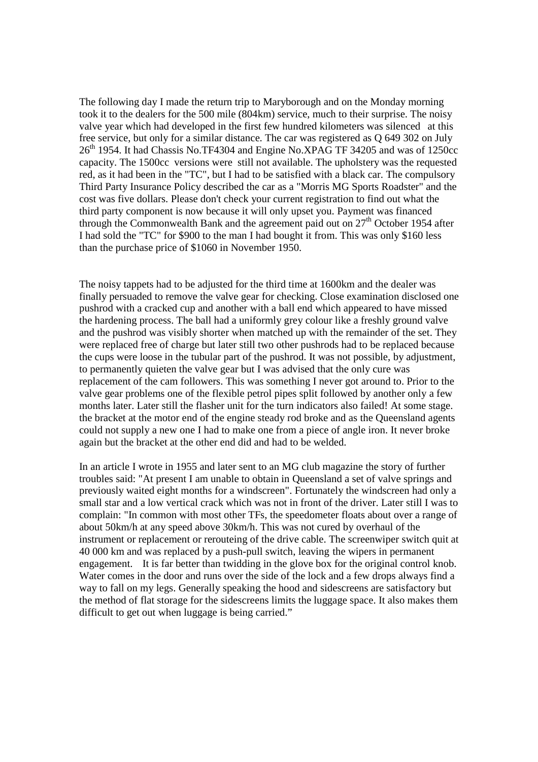The following day I made the return trip to Maryborough and on the Monday morning took it to the dealers for the 500 mile (804km) service, much to their surprise. The noisy valve year which had developed in the first few hundred kilometers was silenced at this free service, but only for a similar distance. The car was registered as Q 649 302 on July  $26<sup>th</sup>$  1954. It had Chassis No.TF4304 and Engine No.XPAG TF 34205 and was of 1250cc capacity. The 1500cc versions were still not available. The upholstery was the requested red, as it had been in the "TC", but I had to be satisfied with a black car. The compulsory Third Party Insurance Policy described the car as a "Morris MG Sports Roadster" and the cost was five dollars. Please don't check your current registration to find out what the third party component is now because it will only upset you. Payment was financed through the Commonwealth Bank and the agreement paid out on  $27<sup>th</sup>$  October 1954 after I had sold the "TC" for \$900 to the man I had bought it from. This was only \$160 less than the purchase price of \$1060 in November 1950.

The noisy tappets had to be adjusted for the third time at 1600km and the dealer was finally persuaded to remove the valve gear for checking. Close examination disclosed one pushrod with a cracked cup and another with a ball end which appeared to have missed the hardening process. The ball had a uniformly grey colour like a freshly ground valve and the pushrod was visibly shorter when matched up with the remainder of the set. They were replaced free of charge but later still two other pushrods had to be replaced because the cups were loose in the tubular part of the pushrod. It was not possible, by adjustment, to permanently quieten the valve gear but I was advised that the only cure was replacement of the cam followers. This was something I never got around to. Prior to the valve gear problems one of the flexible petrol pipes split followed by another only a few months later. Later still the flasher unit for the turn indicators also failed! At some stage. the bracket at the motor end of the engine steady rod broke and as the Queensland agents could not supply a new one I had to make one from a piece of angle iron. It never broke again but the bracket at the other end did and had to be welded.

In an article I wrote in 1955 and later sent to an MG club magazine the story of further troubles said: "At present I am unable to obtain in Queensland a set of valve springs and previously waited eight months for a windscreen". Fortunately the windscreen had only a small star and a low vertical crack which was not in front of the driver. Later still I was to complain: "In common with most other TFs, the speedometer floats about over a range of about 50km/h at any speed above 30km/h. This was not cured by overhaul of the instrument or replacement or rerouteing of the drive cable. The screenwiper switch quit at 40 000 km and was replaced by a push-pull switch, leaving the wipers in permanent engagement. It is far better than twidding in the glove box for the original control knob. Water comes in the door and runs over the side of the lock and a few drops always find a way to fall on my legs. Generally speaking the hood and sidescreens are satisfactory but the method of flat storage for the sidescreens limits the luggage space. It also makes them difficult to get out when luggage is being carried."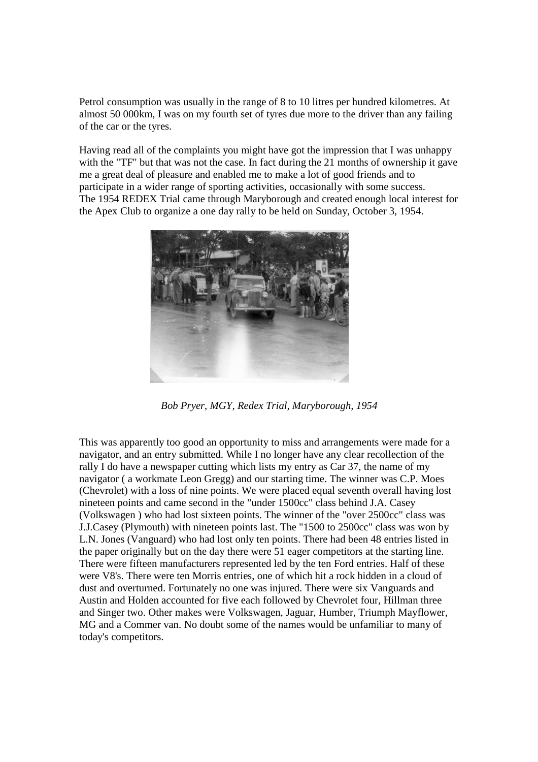Petrol consumption was usually in the range of 8 to 10 litres per hundred kilometres. At almost 50 000km, I was on my fourth set of tyres due more to the driver than any failing of the car or the tyres.

Having read all of the complaints you might have got the impression that I was unhappy with the "TF" but that was not the case. In fact during the 21 months of ownership it gave me a great deal of pleasure and enabled me to make a lot of good friends and to participate in a wider range of sporting activities, occasionally with some success. The 1954 REDEX Trial came through Maryborough and created enough local interest for the Apex Club to organize a one day rally to be held on Sunday, October 3, 1954.



*Bob Pryer, MGY, Redex Trial, Maryborough, 1954*

This was apparently too good an opportunity to miss and arrangements were made for a navigator, and an entry submitted. While I no longer have any clear recollection of the rally I do have a newspaper cutting which lists my entry as Car 37, the name of my navigator ( a workmate Leon Gregg) and our starting time. The winner was C.P. Moes (Chevrolet) with a loss of nine points. We were placed equal seventh overall having lost nineteen points and came second in the "under 1500cc" class behind J.A. Casey (Volkswagen ) who had lost sixteen points. The winner of the "over 2500cc" class was J.J.Casey (Plymouth) with nineteen points last. The "1500 to 2500cc" class was won by L.N. Jones (Vanguard) who had lost only ten points. There had been 48 entries listed in the paper originally but on the day there were 51 eager competitors at the starting line. There were fifteen manufacturers represented led by the ten Ford entries. Half of these were V8's. There were ten Morris entries, one of which hit a rock hidden in a cloud of dust and overturned. Fortunately no one was injured. There were six Vanguards and Austin and Holden accounted for five each followed by Chevrolet four, Hillman three and Singer two. Other makes were Volkswagen, Jaguar, Humber, Triumph Mayflower, MG and a Commer van. No doubt some of the names would be unfamiliar to many of today's competitors.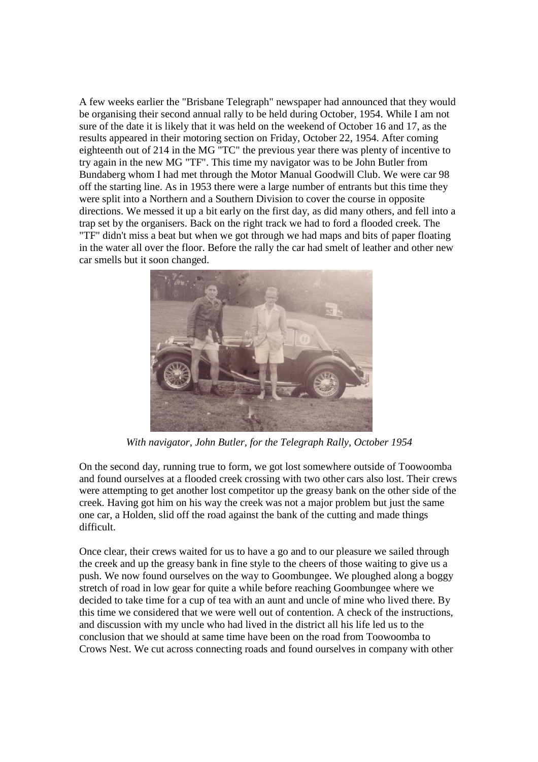A few weeks earlier the "Brisbane Telegraph" newspaper had announced that they would be organising their second annual rally to be held during October, 1954. While I am not sure of the date it is likely that it was held on the weekend of October 16 and 17, as the results appeared in their motoring section on Friday, October 22, 1954. After coming eighteenth out of 214 in the MG "TC" the previous year there was plenty of incentive to try again in the new MG "TF". This time my navigator was to be John Butler from Bundaberg whom I had met through the Motor Manual Goodwill Club. We were car 98 off the starting line. As in 1953 there were a large number of entrants but this time they were split into a Northern and a Southern Division to cover the course in opposite directions. We messed it up a bit early on the first day, as did many others, and fell into a trap set by the organisers. Back on the right track we had to ford a flooded creek. The "TF" didn't miss a beat but when we got through we had maps and bits of paper floating in the water all over the floor. Before the rally the car had smelt of leather and other new car smells but it soon changed.



*With navigator, John Butler, for the Telegraph Rally, October 1954*

On the second day, running true to form, we got lost somewhere outside of Toowoomba and found ourselves at a flooded creek crossing with two other cars also lost. Their crews were attempting to get another lost competitor up the greasy bank on the other side of the creek. Having got him on his way the creek was not a major problem but just the same one car, a Holden, slid off the road against the bank of the cutting and made things difficult.

Once clear, their crews waited for us to have a go and to our pleasure we sailed through the creek and up the greasy bank in fine style to the cheers of those waiting to give us a push. We now found ourselves on the way to Goombungee. We ploughed along a boggy stretch of road in low gear for quite a while before reaching Goombungee where we decided to take time for a cup of tea with an aunt and uncle of mine who lived there. By this time we considered that we were well out of contention. A check of the instructions, and discussion with my uncle who had lived in the district all his life led us to the conclusion that we should at same time have been on the road from Toowoomba to Crows Nest. We cut across connecting roads and found ourselves in company with other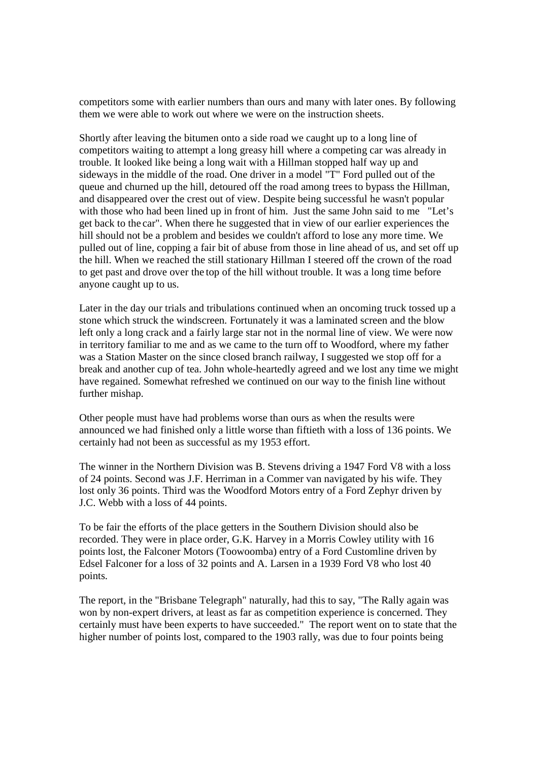competitors some with earlier numbers than ours and many with later ones. By following them we were able to work out where we were on the instruction sheets.

Shortly after leaving the bitumen onto a side road we caught up to a long line of competitors waiting to attempt a long greasy hill where a competing car was already in trouble. It looked like being a long wait with a Hillman stopped half way up and sideways in the middle of the road. One driver in a model "T" Ford pulled out of the queue and churned up the hill, detoured off the road among trees to bypass the Hillman, and disappeared over the crest out of view. Despite being successful he wasn't popular with those who had been lined up in front of him. Just the same John said to me "Let's get back to the car". When there he suggested that in view of our earlier experiences the hill should not be a problem and besides we couldn't afford to lose any more time. We pulled out of line, copping a fair bit of abuse from those in line ahead of us, and set off up the hill. When we reached the still stationary Hillman I steered off the crown of the road to get past and drove over the top of the hill without trouble. It was a long time before anyone caught up to us.

Later in the day our trials and tribulations continued when an oncoming truck tossed up a stone which struck the windscreen. Fortunately it was a laminated screen and the blow left only a long crack and a fairly large star not in the normal line of view. We were now in territory familiar to me and as we came to the turn off to Woodford, where my father was a Station Master on the since closed branch railway, I suggested we stop off for a break and another cup of tea. John whole-heartedly agreed and we lost any time we might have regained. Somewhat refreshed we continued on our way to the finish line without further mishap.

Other people must have had problems worse than ours as when the results were announced we had finished only a little worse than fiftieth with a loss of 136 points. We certainly had not been as successful as my 1953 effort.

The winner in the Northern Division was B. Stevens driving a 1947 Ford V8 with a loss of 24 points. Second was J.F. Herriman in a Commer van navigated by his wife. They lost only 36 points. Third was the Woodford Motors entry of a Ford Zephyr driven by J.C. Webb with a loss of 44 points.

To be fair the efforts of the place getters in the Southern Division should also be recorded. They were in place order, G.K. Harvey in a Morris Cowley utility with 16 points lost, the Falconer Motors (Toowoomba) entry of a Ford Customline driven by Edsel Falconer for a loss of 32 points and A. Larsen in a 1939 Ford V8 who lost 40 points.

The report, in the "Brisbane Telegraph" naturally, had this to say, "The Rally again was won by non-expert drivers, at least as far as competition experience is concerned. They certainly must have been experts to have succeeded." The report went on to state that the higher number of points lost, compared to the 1903 rally, was due to four points being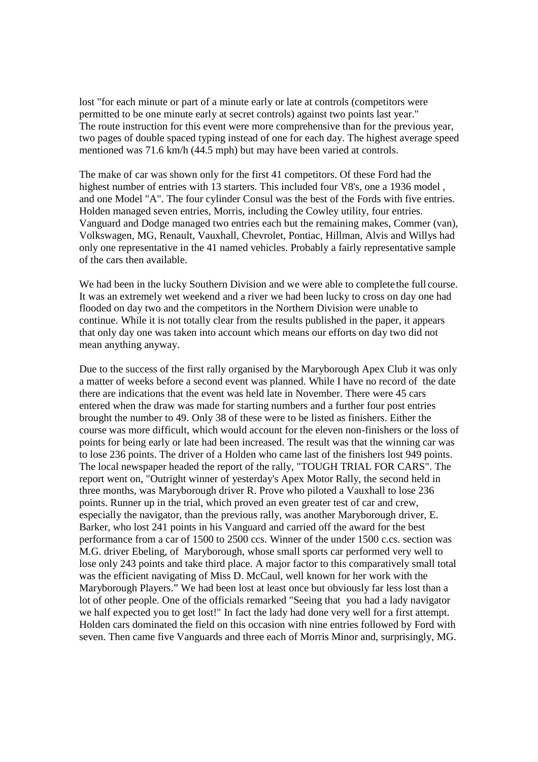lost "for each minute or part of a minute early or late at controls (competitors were permitted to be one minute early at secret controls) against two points last year.'' The route instruction for this event were more comprehensive than for the previous year, two pages of double spaced typing instead of one for each day. The highest average speed mentioned was 71.6 km/h (44.5 mph) but may have been varied at controls.

The make of car was shown only for the first 41 competitors. Of these Ford had the highest number of entries with 13 starters. This included four V8's, one a 1936 model , and one Model "A". The four cylinder Consul was the best of the Fords with five entries. Holden managed seven entries, Morris, including the Cowley utility, four entries. Vanguard and Dodge managed two entries each but the remaining makes, Commer (van), Volkswagen, MG, Renault, Vauxhall, Chevrolet, Pontiac, Hillman, Alvis and Willys had only one representative in the 41 named vehicles. Probably a fairly representative sample of the cars then available.

We had been in the lucky Southern Division and we were able to complete the full course. It was an extremely wet weekend and a river we had been lucky to cross on day one had flooded on day two and the competitors in the Northern Division were unable to continue. While it is not totally clear from the results published in the paper, it appears that only day one was taken into account which means our efforts on day two did not mean anything anyway.

Due to the success of the first rally organised by the Maryborough Apex Club it was only a matter of weeks before a second event was planned. While I have no record of the date there are indications that the event was held late in November. There were 45 cars entered when the draw was made for starting numbers and a further four post entries brought the number to 49. Only 38 of these were to be listed as finishers. Either the course was more difficult, which would account for the eleven non-finishers or the loss of points for being early or late had been increased. The result was that the winning car was to lose 236 points. The driver of a Holden who came last of the finishers lost 949 points. The local newspaper headed the report of the rally, "TOUGH TRIAL FOR CARS". The report went on, "Outright winner of yesterday's Apex Motor Rally, the second held in three months, was Maryborough driver R. Prove who piloted a Vauxhall to lose 236 points. Runner up in the trial, which proved an even greater test of car and crew, especially the navigator, than the previous rally, was another Maryborough driver, E. Barker, who lost 241 points in his Vanguard and carried off the award for the best performance from a car of 1500 to 2500 ccs. Winner of the under 1500 c.cs. section was M.G. driver Ebeling, of Maryborough, whose small sports car performed very well to lose only 243 points and take third place. A major factor to this comparatively small total was the efficient navigating of Miss D. McCaul, well known for her work with the Maryborough Players." We had been lost at least once but obviously far less lost than a lot of other people. One of the officials remarked "Seeing that you had a lady navigator we half expected you to get lost!" In fact the lady had done very well for a first attempt. Holden cars dominated the field on this occasion with nine entries followed by Ford with seven. Then came five Vanguards and three each of Morris Minor and, surprisingly, MG.